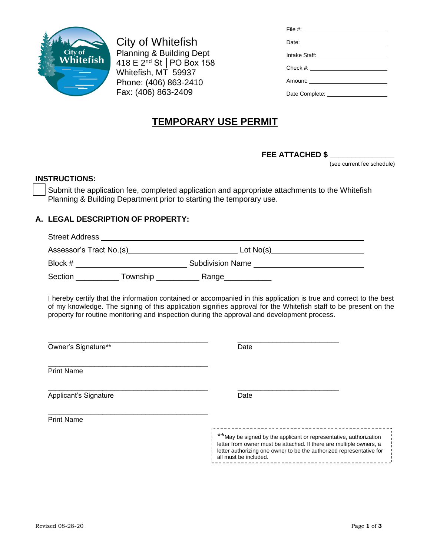

City of Whitefish Planning & Building Dept 418 E 2nd St │PO Box 158 Whitefish, MT 59937 Phone: (406) 863-2410 Fax: (406) 863-2409

| Date: <u>Date:</u>                    |
|---------------------------------------|
| Intake Staff: _______________________ |
|                                       |
|                                       |
|                                       |
|                                       |

## **TEMPORARY USE PERMIT**

**FEE ATTACHED \$ \_\_\_\_\_\_\_\_\_\_\_\_\_\_\_** 

(see current fee schedule)

## **INSTRUCTIONS:**

Submit the application fee, completed application and appropriate attachments to the Whitefish Planning & Building Department prior to starting the temporary use.

## **A. LEGAL DESCRIPTION OF PROPERTY:**

Street Address Assessor's Tract No.(s) Lot No(s) Block # Subdivision Name

Section \_\_\_\_\_\_\_\_\_\_\_\_ Township \_\_\_\_\_\_\_\_\_\_\_\_\_ Range\_\_\_\_\_\_\_\_\_\_\_\_

I hereby certify that the information contained or accompanied in this application is true and correct to the best of my knowledge. The signing of this application signifies approval for the Whitefish staff to be present on the property for routine monitoring and inspection during the approval and development process.

| Owner's Signature**   | Date                                                                                                                                                                                                                                       |
|-----------------------|--------------------------------------------------------------------------------------------------------------------------------------------------------------------------------------------------------------------------------------------|
| <b>Print Name</b>     |                                                                                                                                                                                                                                            |
| Applicant's Signature | Date                                                                                                                                                                                                                                       |
| <b>Print Name</b>     |                                                                                                                                                                                                                                            |
|                       | ** May be signed by the applicant or representative, authorization<br>letter from owner must be attached. If there are multiple owners, a<br>letter authorizing one owner to be the authorized representative for<br>all must be included. |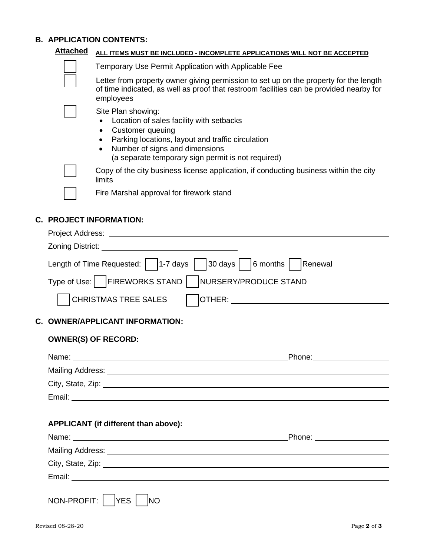## **B.**  $\angle$

|                                                                                                                                                                                               | <b>B. APPLICATION CONTENTS:</b>                                                                                                                                                                                                                                                                                                                                                                                                                                                       |                                      |  |  |  |  |
|-----------------------------------------------------------------------------------------------------------------------------------------------------------------------------------------------|---------------------------------------------------------------------------------------------------------------------------------------------------------------------------------------------------------------------------------------------------------------------------------------------------------------------------------------------------------------------------------------------------------------------------------------------------------------------------------------|--------------------------------------|--|--|--|--|
|                                                                                                                                                                                               | <b>Attached</b><br>ALL ITEMS MUST BE INCLUDED - INCOMPLETE APPLICATIONS WILL NOT BE ACCEPTED                                                                                                                                                                                                                                                                                                                                                                                          |                                      |  |  |  |  |
|                                                                                                                                                                                               | Temporary Use Permit Application with Applicable Fee                                                                                                                                                                                                                                                                                                                                                                                                                                  |                                      |  |  |  |  |
| Letter from property owner giving permission to set up on the property for the length<br>of time indicated, as well as proof that restroom facilities can be provided nearby for<br>employees |                                                                                                                                                                                                                                                                                                                                                                                                                                                                                       |                                      |  |  |  |  |
|                                                                                                                                                                                               | Site Plan showing:<br>Location of sales facility with setbacks<br>$\bullet$<br>Customer queuing<br>$\bullet$<br>Parking locations, layout and traffic circulation<br>$\bullet$<br>Number of signs and dimensions<br>$\bullet$<br>(a separate temporary sign permit is not required)                                                                                                                                                                                                   |                                      |  |  |  |  |
| Copy of the city business license application, if conducting business within the city<br>limits                                                                                               |                                                                                                                                                                                                                                                                                                                                                                                                                                                                                       |                                      |  |  |  |  |
|                                                                                                                                                                                               | Fire Marshal approval for firework stand                                                                                                                                                                                                                                                                                                                                                                                                                                              |                                      |  |  |  |  |
|                                                                                                                                                                                               | <b>C. PROJECT INFORMATION:</b><br>Zoning District: <u>Contract Contract Contract Contract Contract Contract Contract Contract Contract Contract Contract Contract Contract Contract Contract Contract Contract Contract Contract Contract Contract Contract Contra</u><br>Length of Time Requested: $\vert$   1-7 days<br>$\vert$ 30 days $\vert$   6 months $\vert$<br>Renewal<br>Type of Use:   FIREWORKS STAND  <br>NURSERY/PRODUCE STAND<br><b>CHRISTMAS TREE SALES</b><br>OTHER: |                                      |  |  |  |  |
|                                                                                                                                                                                               |                                                                                                                                                                                                                                                                                                                                                                                                                                                                                       |                                      |  |  |  |  |
|                                                                                                                                                                                               | C. OWNER/APPLICANT INFORMATION:                                                                                                                                                                                                                                                                                                                                                                                                                                                       |                                      |  |  |  |  |
|                                                                                                                                                                                               | <b>OWNER(S) OF RECORD:</b>                                                                                                                                                                                                                                                                                                                                                                                                                                                            |                                      |  |  |  |  |
| Name:<br>Phone: 2000                                                                                                                                                                          |                                                                                                                                                                                                                                                                                                                                                                                                                                                                                       |                                      |  |  |  |  |
|                                                                                                                                                                                               | Mailing Address: National Address: National Address: National Address: National Address: National Address: National Address: National Address: National Address: National Address: National Address: National Address: Nationa                                                                                                                                                                                                                                                        |                                      |  |  |  |  |
|                                                                                                                                                                                               | City, State, Zip: 2008. Experience of the State of Table 2008. The State of the State of Table 2008.                                                                                                                                                                                                                                                                                                                                                                                  |                                      |  |  |  |  |
|                                                                                                                                                                                               |                                                                                                                                                                                                                                                                                                                                                                                                                                                                                       |                                      |  |  |  |  |
|                                                                                                                                                                                               |                                                                                                                                                                                                                                                                                                                                                                                                                                                                                       | APPLICANT (if different than above): |  |  |  |  |

|                                                                                         | Phone: ________________ |  |  |  |
|-----------------------------------------------------------------------------------------|-------------------------|--|--|--|
|                                                                                         |                         |  |  |  |
| City, State, Zip: 2008. Experience of the State of Table 2008. The State of Table 2008. |                         |  |  |  |
|                                                                                         |                         |  |  |  |
| NON-PROFIT: YES NO                                                                      |                         |  |  |  |